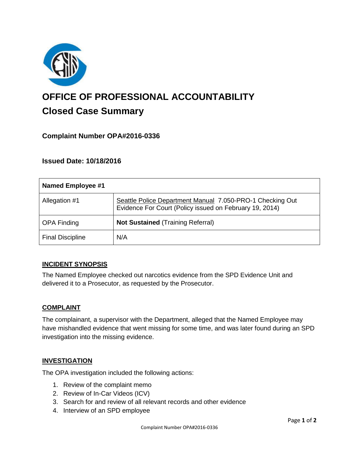

# **OFFICE OF PROFESSIONAL ACCOUNTABILITY Closed Case Summary**

## **Complaint Number OPA#2016-0336**

**Issued Date: 10/18/2016**

| Named Employee #1       |                                                                                                                      |
|-------------------------|----------------------------------------------------------------------------------------------------------------------|
| Allegation #1           | Seattle Police Department Manual 7.050-PRO-1 Checking Out<br>Evidence For Court (Policy issued on February 19, 2014) |
| <b>OPA Finding</b>      | <b>Not Sustained (Training Referral)</b>                                                                             |
| <b>Final Discipline</b> | N/A                                                                                                                  |

## **INCIDENT SYNOPSIS**

The Named Employee checked out narcotics evidence from the SPD Evidence Unit and delivered it to a Prosecutor, as requested by the Prosecutor.

#### **COMPLAINT**

The complainant, a supervisor with the Department, alleged that the Named Employee may have mishandled evidence that went missing for some time, and was later found during an SPD investigation into the missing evidence.

#### **INVESTIGATION**

The OPA investigation included the following actions:

- 1. Review of the complaint memo
- 2. Review of In-Car Videos (ICV)
- 3. Search for and review of all relevant records and other evidence
- 4. Interview of an SPD employee